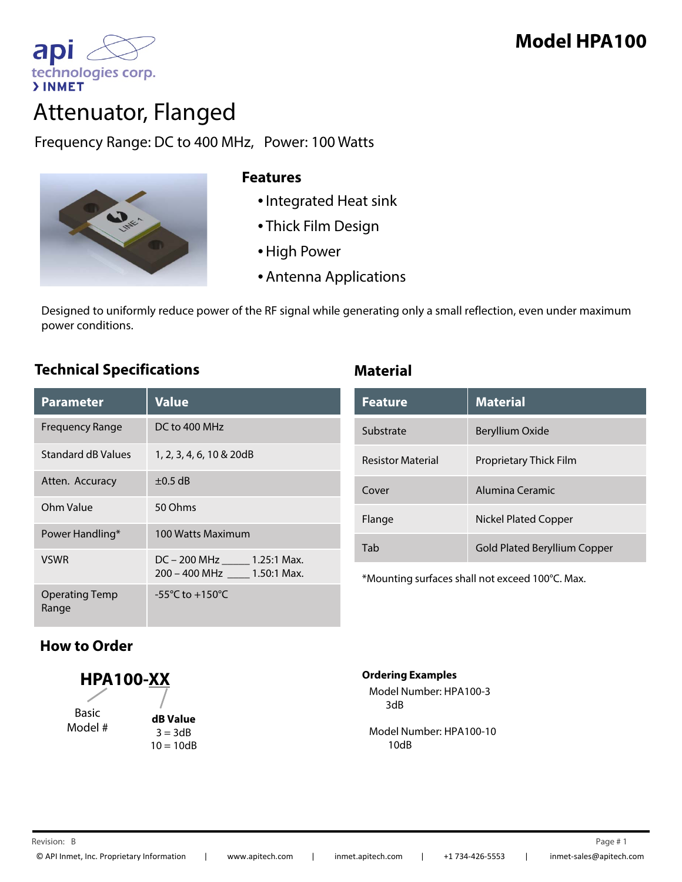



# Attenuator, Flanged

Frequency Range: DC to 400 MHz, Power: 100 Watts



#### **Features**

- •Integrated Heat sink
- Thick Film Design
- •High Power
- Antenna Applications

Designed to uniformly reduce power of the RF signal while generating only a small reflection, even under maximum power conditions. p

### **Technical Specifications Material**

| <b>Parameter</b>               | <b>Value</b>                                                 |
|--------------------------------|--------------------------------------------------------------|
| <b>Frequency Range</b>         | DC to 400 MHz                                                |
| Standard dB Values             | 1, 2, 3, 4, 6, 10 & 20dB                                     |
| Atten. Accuracy                | $\pm 0.5$ dB                                                 |
| Ohm Value                      | 50 Ohms                                                      |
| Power Handling*                | 100 Watts Maximum                                            |
| <b>VSWR</b>                    | DC - 200 MHz ______ 1.25:1 Max.<br>200 - 400 MHz 1.50:1 Max. |
| <b>Operating Temp</b><br>Range | $-55^{\circ}$ C to $+150^{\circ}$ C                          |

| <b>Feature</b>           | <b>Material</b>                     |
|--------------------------|-------------------------------------|
| Substrate                | Beryllium Oxide                     |
| <b>Resistor Material</b> | <b>Proprietary Thick Film</b>       |
| Cover                    | Alumina Ceramic                     |
| Flange                   | Nickel Plated Copper                |
| Tab                      | <b>Gold Plated Beryllium Copper</b> |

\*Mounting surfaces shall not exceed 100°C. Max.

## **How to Order**

**HPA100-XX** Basic Model #

**dB Value**  $3 = 3dB$  $10 = 10dB$ 

#### **Ordering Examples**

Model Number: HPA100-3 3dB

Model Number: HPA100-10 10dB